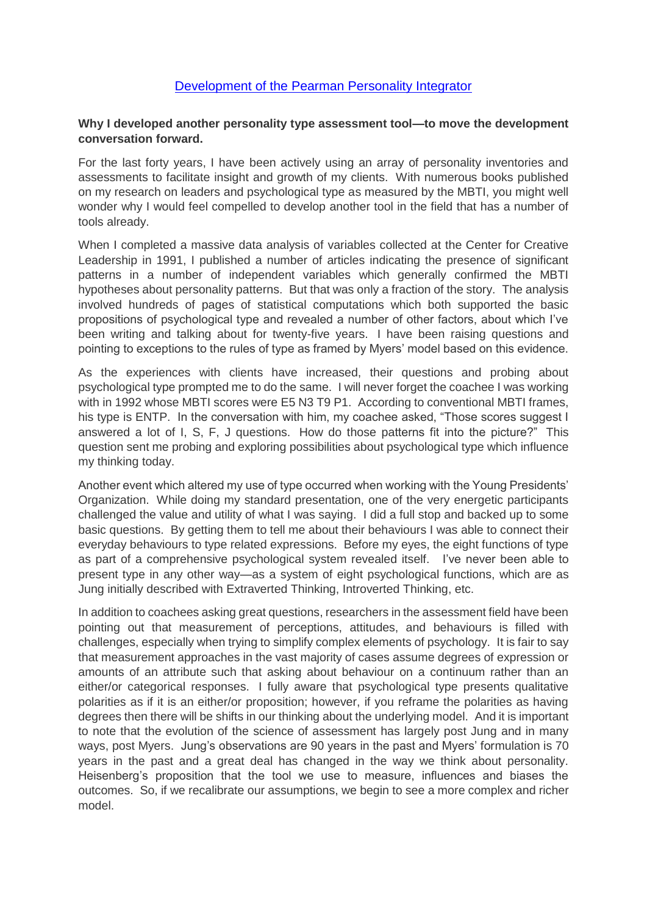## [Development of the Pearman Personality Integrator](http://pearmanpersonality.blogspot.com/2015/11/development-of-pearman-personality.html)

## **Why I developed another personality type assessment tool—to move the development conversation forward.**

For the last forty years, I have been actively using an array of personality inventories and assessments to facilitate insight and growth of my clients. With numerous books published on my research on leaders and psychological type as measured by the MBTI, you might well wonder why I would feel compelled to develop another tool in the field that has a number of tools already.

When I completed a massive data analysis of variables collected at the Center for Creative Leadership in 1991, I published a number of articles indicating the presence of significant patterns in a number of independent variables which generally confirmed the MBTI hypotheses about personality patterns. But that was only a fraction of the story. The analysis involved hundreds of pages of statistical computations which both supported the basic propositions of psychological type and revealed a number of other factors, about which I've been writing and talking about for twenty-five years. I have been raising questions and pointing to exceptions to the rules of type as framed by Myers' model based on this evidence.

As the experiences with clients have increased, their questions and probing about psychological type prompted me to do the same. I will never forget the coachee I was working with in 1992 whose MBTI scores were E5 N3 T9 P1. According to conventional MBTI frames, his type is ENTP. In the conversation with him, my coachee asked, "Those scores suggest I answered a lot of I, S, F, J questions. How do those patterns fit into the picture?" This question sent me probing and exploring possibilities about psychological type which influence my thinking today.

Another event which altered my use of type occurred when working with the Young Presidents' Organization. While doing my standard presentation, one of the very energetic participants challenged the value and utility of what I was saying. I did a full stop and backed up to some basic questions. By getting them to tell me about their behaviours I was able to connect their everyday behaviours to type related expressions. Before my eyes, the eight functions of type as part of a comprehensive psychological system revealed itself. I've never been able to present type in any other way—as a system of eight psychological functions, which are as Jung initially described with Extraverted Thinking, Introverted Thinking, etc.

In addition to coachees asking great questions, researchers in the assessment field have been pointing out that measurement of perceptions, attitudes, and behaviours is filled with challenges, especially when trying to simplify complex elements of psychology. It is fair to say that measurement approaches in the vast majority of cases assume degrees of expression or amounts of an attribute such that asking about behaviour on a continuum rather than an either/or categorical responses. I fully aware that psychological type presents qualitative polarities as if it is an either/or proposition; however, if you reframe the polarities as having degrees then there will be shifts in our thinking about the underlying model. And it is important to note that the evolution of the science of assessment has largely post Jung and in many ways, post Myers. Jung's observations are 90 years in the past and Myers' formulation is 70 years in the past and a great deal has changed in the way we think about personality. Heisenberg's proposition that the tool we use to measure, influences and biases the outcomes. So, if we recalibrate our assumptions, we begin to see a more complex and richer model.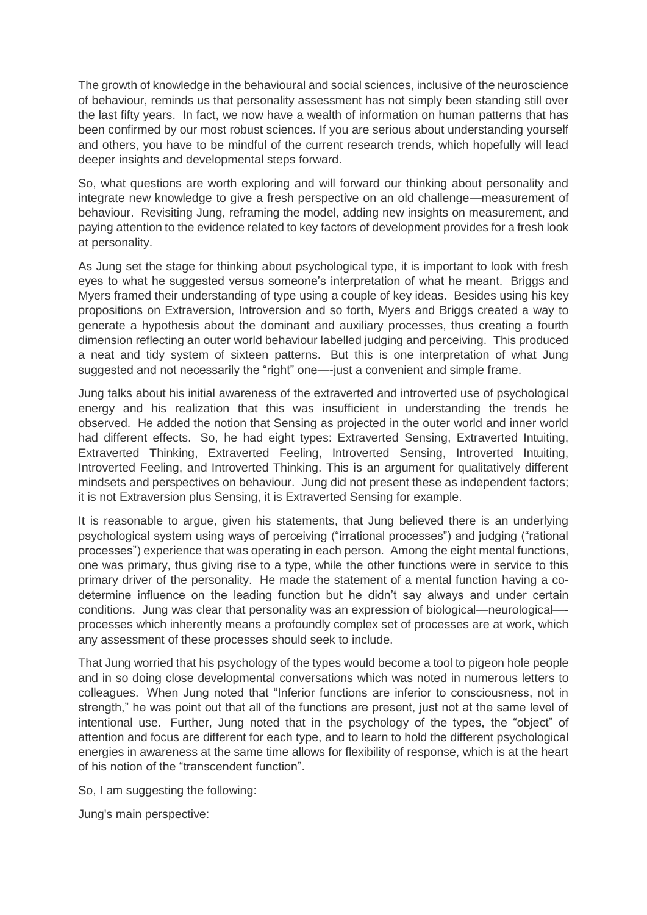The growth of knowledge in the behavioural and social sciences, inclusive of the neuroscience of behaviour, reminds us that personality assessment has not simply been standing still over the last fifty years. In fact, we now have a wealth of information on human patterns that has been confirmed by our most robust sciences. If you are serious about understanding yourself and others, you have to be mindful of the current research trends, which hopefully will lead deeper insights and developmental steps forward.

So, what questions are worth exploring and will forward our thinking about personality and integrate new knowledge to give a fresh perspective on an old challenge—measurement of behaviour. Revisiting Jung, reframing the model, adding new insights on measurement, and paying attention to the evidence related to key factors of development provides for a fresh look at personality.

As Jung set the stage for thinking about psychological type, it is important to look with fresh eyes to what he suggested versus someone's interpretation of what he meant. Briggs and Myers framed their understanding of type using a couple of key ideas. Besides using his key propositions on Extraversion, Introversion and so forth, Myers and Briggs created a way to generate a hypothesis about the dominant and auxiliary processes, thus creating a fourth dimension reflecting an outer world behaviour labelled judging and perceiving. This produced a neat and tidy system of sixteen patterns. But this is one interpretation of what Jung suggested and not necessarily the "right" one—-just a convenient and simple frame.

Jung talks about his initial awareness of the extraverted and introverted use of psychological energy and his realization that this was insufficient in understanding the trends he observed. He added the notion that Sensing as projected in the outer world and inner world had different effects. So, he had eight types: Extraverted Sensing, Extraverted Intuiting, Extraverted Thinking, Extraverted Feeling, Introverted Sensing, Introverted Intuiting, Introverted Feeling, and Introverted Thinking. This is an argument for qualitatively different mindsets and perspectives on behaviour. Jung did not present these as independent factors; it is not Extraversion plus Sensing, it is Extraverted Sensing for example.

It is reasonable to argue, given his statements, that Jung believed there is an underlying psychological system using ways of perceiving ("irrational processes") and judging ("rational processes") experience that was operating in each person. Among the eight mental functions, one was primary, thus giving rise to a type, while the other functions were in service to this primary driver of the personality. He made the statement of a mental function having a codetermine influence on the leading function but he didn't say always and under certain conditions. Jung was clear that personality was an expression of biological—neurological— processes which inherently means a profoundly complex set of processes are at work, which any assessment of these processes should seek to include.

That Jung worried that his psychology of the types would become a tool to pigeon hole people and in so doing close developmental conversations which was noted in numerous letters to colleagues. When Jung noted that "Inferior functions are inferior to consciousness, not in strength," he was point out that all of the functions are present, just not at the same level of intentional use. Further, Jung noted that in the psychology of the types, the "object" of attention and focus are different for each type, and to learn to hold the different psychological energies in awareness at the same time allows for flexibility of response, which is at the heart of his notion of the "transcendent function".

So, I am suggesting the following:

Jung's main perspective: